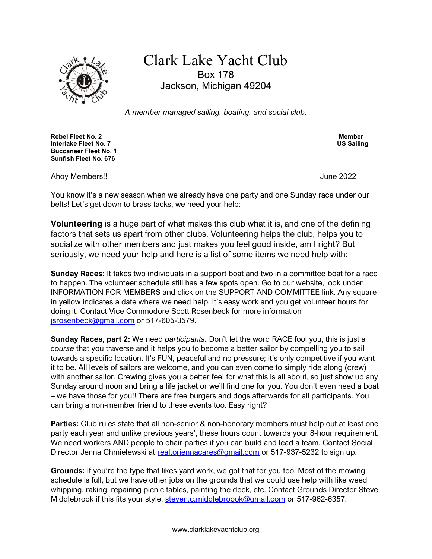

# Clark Lake Yacht Club Box 178 Jackson, Michigan 49204

A member managed sailing, boating, and social club.

Rebel Fleet No. 2 Member Interlake Fleet No. 7 Buccaneer Fleet No. 1 Sunfish Fleet No. 676

Ahoy Members!! June 2022

You know it's a new season when we already have one party and one Sunday race under our belts! Let's get down to brass tacks, we need your help:

Volunteering is a huge part of what makes this club what it is, and one of the defining factors that sets us apart from other clubs. Volunteering helps the club, helps you to socialize with other members and just makes you feel good inside, am I right? But seriously, we need your help and here is a list of some items we need help with:

Sunday Races: It takes two individuals in a support boat and two in a committee boat for a race to happen. The volunteer schedule still has a few spots open. Go to our website, look under INFORMATION FOR MEMBERS and click on the SUPPORT AND COMMITTEE link. Any square in yellow indicates a date where we need help. It's easy work and you get volunteer hours for doing it. Contact Vice Commodore Scott Rosenbeck for more information jsrosenbeck@gmail.com or 517-605-3579.

Sunday Races, part 2: We need *participants*. Don't let the word RACE fool you, this is just a course that you traverse and it helps you to become a better sailor by compelling you to sail towards a specific location. It's FUN, peaceful and no pressure; it's only competitive if you want it to be. All levels of sailors are welcome, and you can even come to simply ride along (crew) with another sailor. Crewing gives you a better feel for what this is all about, so just show up any Sunday around noon and bring a life jacket or we'll find one for you. You don't even need a boat – we have those for you!! There are free burgers and dogs afterwards for all participants. You can bring a non-member friend to these events too. Easy right?

Parties: Club rules state that all non-senior & non-honorary members must help out at least one party each year and unlike previous years', these hours count towards your 8-hour requirement. We need workers AND people to chair parties if you can build and lead a team. Contact Social Director Jenna Chmielewski at realtorjennacares@gmail.com or 517-937-5232 to sign up.

Grounds: If you're the type that likes yard work, we got that for you too. Most of the mowing schedule is full, but we have other jobs on the grounds that we could use help with like weed whipping, raking, repairing picnic tables, painting the deck, etc. Contact Grounds Director Steve Middlebrook if this fits your style, steven.c.middlebroook@gmail.com or 517-962-6357.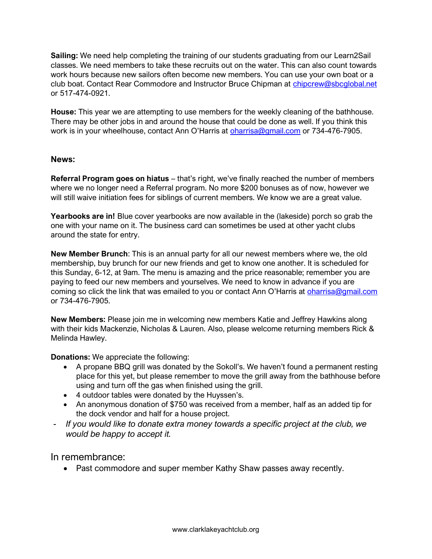Sailing: We need help completing the training of our students graduating from our Learn2Sail classes. We need members to take these recruits out on the water. This can also count towards work hours because new sailors often become new members. You can use your own boat or a club boat. Contact Rear Commodore and Instructor Bruce Chipman at chipcrew@sbcglobal.net or 517-474-0921.

House: This year we are attempting to use members for the weekly cleaning of the bathhouse. There may be other jobs in and around the house that could be done as well. If you think this work is in your wheelhouse, contact Ann O'Harris at **oharrisa@gmail.com** or 734-476-7905.

#### News:

Referral Program goes on hiatus – that's right, we've finally reached the number of members where we no longer need a Referral program. No more \$200 bonuses as of now, however we will still waive initiation fees for siblings of current members. We know we are a great value.

Yearbooks are in! Blue cover yearbooks are now available in the (lakeside) porch so grab the one with your name on it. The business card can sometimes be used at other yacht clubs around the state for entry.

New Member Brunch: This is an annual party for all our newest members where we, the old membership, buy brunch for our new friends and get to know one another. It is scheduled for this Sunday, 6-12, at 9am. The menu is amazing and the price reasonable; remember you are paying to feed our new members and yourselves. We need to know in advance if you are coming so click the link that was emailed to you or contact Ann O'Harris at oharrisa@gmail.com or 734-476-7905.

New Members: Please join me in welcoming new members Katie and Jeffrey Hawkins along with their kids Mackenzie, Nicholas & Lauren. Also, please welcome returning members Rick & Melinda Hawley.

Donations: We appreciate the following:

- A propane BBQ grill was donated by the Sokoll's. We haven't found a permanent resting place for this yet, but please remember to move the grill away from the bathhouse before using and turn off the gas when finished using the grill.
- 4 outdoor tables were donated by the Huyssen's.
- An anonymous donation of \$750 was received from a member, half as an added tip for the dock vendor and half for a house project.
- If you would like to donate extra money towards a specific project at the club, we would be happy to accept it.

In remembrance:

• Past commodore and super member Kathy Shaw passes away recently.